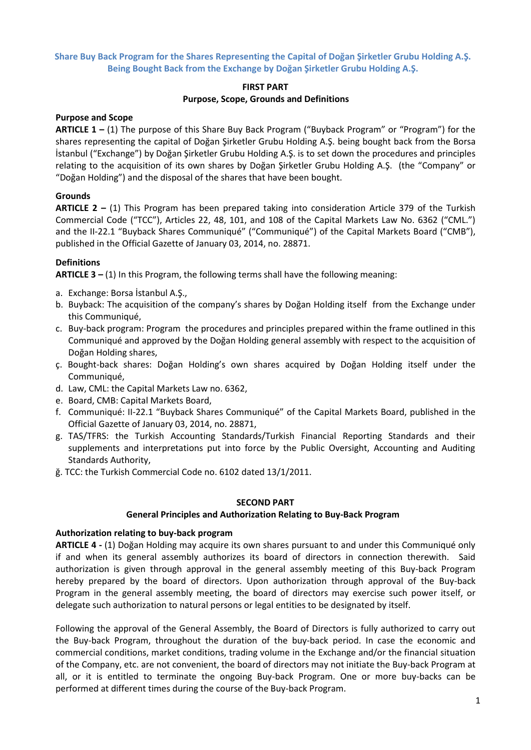## **Share Buy Back Program for the Shares Representing the Capital of Doğan Şirketler Grubu Holding A.Ş. Being Bought Back from the Exchange by Doğan Şirketler Grubu Holding A.Ş.**

### **FIRST PART Purpose, Scope, Grounds and Definitions**

### **Purpose and Scope**

**ARTICLE 1 –** (1) The purpose of this Share Buy Back Program ("Buyback Program" or "Program") for the shares representing the capital of Doğan Şirketler Grubu Holding A.Ş. being bought back from the Borsa İstanbul ("Exchange") by Doğan Şirketler Grubu Holding A.Ş. is to set down the procedures and principles relating to the acquisition of its own shares by Doğan Şirketler Grubu Holding A.Ş. (the "Company" or "Doğan Holding") and the disposal of the shares that have been bought.

# **Grounds**

**ARTICLE 2 –** (1) This Program has been prepared taking into consideration Article 379 of the Turkish Commercial Code ("TCC"), Articles 22, 48, 101, and 108 of the Capital Markets Law No. 6362 ("CML.") and the II-22.1 "Buyback Shares Communiqué" ("Communiqué") of the Capital Markets Board ("CMB"), published in the Official Gazette of January 03, 2014, no. 28871.

# **Definitions**

**ARTICLE 3 –** (1) In this Program, the following terms shall have the following meaning:

- a. Exchange: Borsa İstanbul A.Ş.,
- b. Buyback: The acquisition of the company's shares by Doğan Holding itself from the Exchange under this Communiqué,
- c. Buy-back program: Program the procedures and principles prepared within the frame outlined in this Communiqué and approved by the Doğan Holding general assembly with respect to the acquisition of Doğan Holding shares,
- ç. Bought-back shares: Doğan Holding's own shares acquired by Doğan Holding itself under the Communiqué,
- d. Law, CML: the Capital Markets Law no. 6362,
- e. Board, CMB: Capital Markets Board,
- f. Communiqué: II-22.1 "Buyback Shares Communiqué" of the Capital Markets Board, published in the Official Gazette of January 03, 2014, no. 28871,
- g. TAS/TFRS: the Turkish Accounting Standards/Turkish Financial Reporting Standards and their supplements and interpretations put into force by the Public Oversight, Accounting and Auditing Standards Authority,
- ğ. TCC: the Turkish Commercial Code no. 6102 dated 13/1/2011.

### **SECOND PART**

### **General Principles and Authorization Relating to Buy-Back Program**

### **Authorization relating to buy-back program**

**ARTICLE 4 -** (1) Doğan Holding may acquire its own shares pursuant to and under this Communiqué only if and when its general assembly authorizes its board of directors in connection therewith. Said authorization is given through approval in the general assembly meeting of this Buy-back Program hereby prepared by the board of directors. Upon authorization through approval of the Buy-back Program in the general assembly meeting, the board of directors may exercise such power itself, or delegate such authorization to natural persons or legal entities to be designated by itself.

Following the approval of the General Assembly, the Board of Directors is fully authorized to carry out the Buy-back Program, throughout the duration of the buy-back period. In case the economic and commercial conditions, market conditions, trading volume in the Exchange and/or the financial situation of the Company, etc. are not convenient, the board of directors may not initiate the Buy-back Program at all, or it is entitled to terminate the ongoing Buy-back Program. One or more buy-backs can be performed at different times during the course of the Buy-back Program.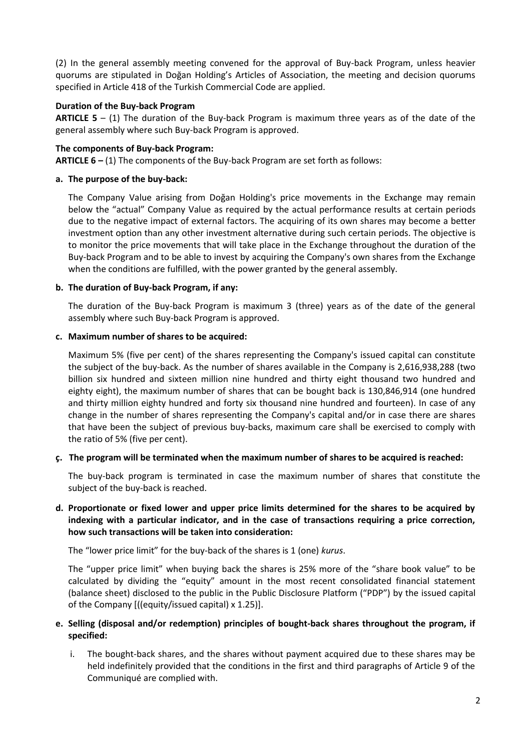(2) In the general assembly meeting convened for the approval of Buy-back Program, unless heavier quorums are stipulated in Doğan Holding's Articles of Association, the meeting and decision quorums specified in Article 418 of the Turkish Commercial Code are applied.

## **Duration of the Buy-back Program**

**ARTICLE 5** – (1) The duration of the Buy-back Program is maximum three years as of the date of the general assembly where such Buy-back Program is approved.

### **The components of Buy-back Program:**

**ARTICLE 6 –** (1) The components of the Buy-back Program are set forth as follows:

## **a. The purpose of the buy-back:**

The Company Value arising from Doğan Holding's price movements in the Exchange may remain below the "actual" Company Value as required by the actual performance results at certain periods due to the negative impact of external factors. The acquiring of its own shares may become a better investment option than any other investment alternative during such certain periods. The objective is to monitor the price movements that will take place in the Exchange throughout the duration of the Buy-back Program and to be able to invest by acquiring the Company's own shares from the Exchange when the conditions are fulfilled, with the power granted by the general assembly.

## **b. The duration of Buy-back Program, if any:**

The duration of the Buy-back Program is maximum 3 (three) years as of the date of the general assembly where such Buy-back Program is approved.

### **c. Maximum number of shares to be acquired:**

Maximum 5% (five per cent) of the shares representing the Company's issued capital can constitute the subject of the buy-back. As the number of shares available in the Company is 2,616,938,288 (two billion six hundred and sixteen million nine hundred and thirty eight thousand two hundred and eighty eight), the maximum number of shares that can be bought back is 130,846,914 (one hundred and thirty million eighty hundred and forty six thousand nine hundred and fourteen). In case of any change in the number of shares representing the Company's capital and/or in case there are shares that have been the subject of previous buy-backs, maximum care shall be exercised to comply with the ratio of 5% (five per cent).

### **ç. The program will be terminated when the maximum number of shares to be acquired is reached:**

The buy-back program is terminated in case the maximum number of shares that constitute the subject of the buy-back is reached.

# **d. Proportionate or fixed lower and upper price limits determined for the shares to be acquired by indexing with a particular indicator, and in the case of transactions requiring a price correction, how such transactions will be taken into consideration:**

The "lower price limit" for the buy-back of the shares is 1 (one) *kurus*.

The "upper price limit" when buying back the shares is 25% more of the "share book value" to be calculated by dividing the "equity" amount in the most recent consolidated financial statement (balance sheet) disclosed to the public in the Public Disclosure Platform ("PDP") by the issued capital of the Company [((equity/issued capital) x 1.25)].

## **e. Selling (disposal and/or redemption) principles of bought-back shares throughout the program, if specified:**

i. The bought-back shares, and the shares without payment acquired due to these shares may be held indefinitely provided that the conditions in the first and third paragraphs of Article 9 of the Communiqué are complied with.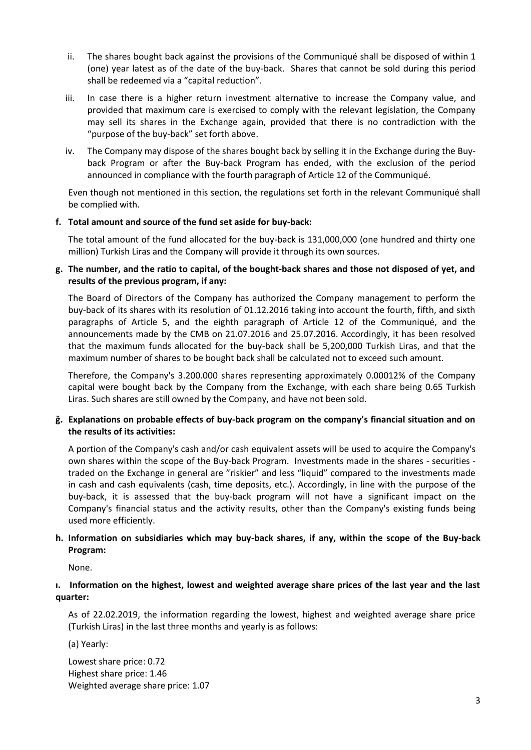- ii. The shares bought back against the provisions of the Communiqué shall be disposed of within 1 (one) year latest as of the date of the buy-back. Shares that cannot be sold during this period shall be redeemed via a "capital reduction".
- iii. In case there is a higher return investment alternative to increase the Company value, and provided that maximum care is exercised to comply with the relevant legislation, the Company may sell its shares in the Exchange again, provided that there is no contradiction with the "purpose of the buy-back" set forth above.
- iv. The Company may dispose of the shares bought back by selling it in the Exchange during the Buyback Program or after the Buy-back Program has ended, with the exclusion of the period announced in compliance with the fourth paragraph of Article 12 of the Communiqué.

Even though not mentioned in this section, the regulations set forth in the relevant Communiqué shall be complied with.

# **f. Total amount and source of the fund set aside for buy-back:**

The total amount of the fund allocated for the buy-back is 131,000,000 (one hundred and thirty one million) Turkish Liras and the Company will provide it through its own sources.

## **g. The number, and the ratio to capital, of the bought-back shares and those not disposed of yet, and results of the previous program, if any:**

The Board of Directors of the Company has authorized the Company management to perform the buy-back of its shares with its resolution of 01.12.2016 taking into account the fourth, fifth, and sixth paragraphs of Article 5, and the eighth paragraph of Article 12 of the Communiqué, and the announcements made by the CMB on 21.07.2016 and 25.07.2016. Accordingly, it has been resolved that the maximum funds allocated for the buy-back shall be 5,200,000 Turkish Liras, and that the maximum number of shares to be bought back shall be calculated not to exceed such amount.

Therefore, the Company's 3.200.000 shares representing approximately 0.00012% of the Company capital were bought back by the Company from the Exchange, with each share being 0.65 Turkish Liras. Such shares are still owned by the Company, and have not been sold.

## **ğ. Explanations on probable effects of buy-back program on the company's financial situation and on the results of its activities:**

A portion of the Company's cash and/or cash equivalent assets will be used to acquire the Company's own shares within the scope of the Buy-back Program. Investments made in the shares - securities traded on the Exchange in general are "riskier" and less "liquid" compared to the investments made in cash and cash equivalents (cash, time deposits, etc.). Accordingly, in line with the purpose of the buy-back, it is assessed that the buy-back program will not have a significant impact on the Company's financial status and the activity results, other than the Company's existing funds being used more efficiently.

# **h. Information on subsidiaries which may buy-back shares, if any, within the scope of the Buy-back Program:**

None.

# **ı. Information on the highest, lowest and weighted average share prices of the last year and the last quarter:**

As of 22.02.2019, the information regarding the lowest, highest and weighted average share price (Turkish Liras) in the last three months and yearly is as follows:

(a) Yearly:

Lowest share price: 0.72 Highest share price: 1.46 Weighted average share price: 1.07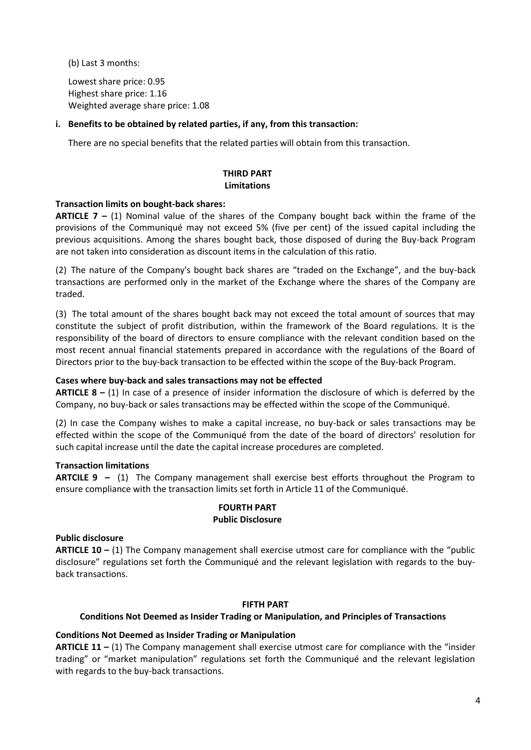(b) Last 3 months:

Lowest share price: 0.95 Highest share price: 1.16 Weighted average share price: 1.08

## **i. Benefits to be obtained by related parties, if any, from this transaction:**

There are no special benefits that the related parties will obtain from this transaction.

## **THIRD PART Limitations**

### **Transaction limits on bought-back shares:**

**ARTICLE 7 –** (1) Nominal value of the shares of the Company bought back within the frame of the provisions of the Communiqué may not exceed 5% (five per cent) of the issued capital including the previous acquisitions. Among the shares bought back, those disposed of during the Buy-back Program are not taken into consideration as discount items in the calculation of this ratio.

(2) The nature of the Company's bought back shares are "traded on the Exchange", and the buy-back transactions are performed only in the market of the Exchange where the shares of the Company are traded.

(3) The total amount of the shares bought back may not exceed the total amount of sources that may constitute the subject of profit distribution, within the framework of the Board regulations. It is the responsibility of the board of directors to ensure compliance with the relevant condition based on the most recent annual financial statements prepared in accordance with the regulations of the Board of Directors prior to the buy-back transaction to be effected within the scope of the Buy-back Program.

### **Cases where buy-back and sales transactions may not be effected**

**ARTICLE 8 –** (1) In case of a presence of insider information the disclosure of which is deferred by the Company, no buy-back or sales transactions may be effected within the scope of the Communiqué.

(2) In case the Company wishes to make a capital increase, no buy-back or sales transactions may be effected within the scope of the Communiqué from the date of the board of directors' resolution for such capital increase until the date the capital increase procedures are completed.

### **Transaction limitations**

**ARTCILE 9 –** (1) The Company management shall exercise best efforts throughout the Program to ensure compliance with the transaction limits set forth in Article 11 of the Communiqué.

#### **FOURTH PART Public Disclosure**

### **Public disclosure**

**ARTICLE 10 –** (1) The Company management shall exercise utmost care for compliance with the "public disclosure" regulations set forth the Communiqué and the relevant legislation with regards to the buyback transactions.

### **FIFTH PART**

### **Conditions Not Deemed as Insider Trading or Manipulation, and Principles of Transactions**

### **Conditions Not Deemed as Insider Trading or Manipulation**

**ARTICLE 11 –** (1) The Company management shall exercise utmost care for compliance with the "insider trading" or "market manipulation" regulations set forth the Communiqué and the relevant legislation with regards to the buy-back transactions.